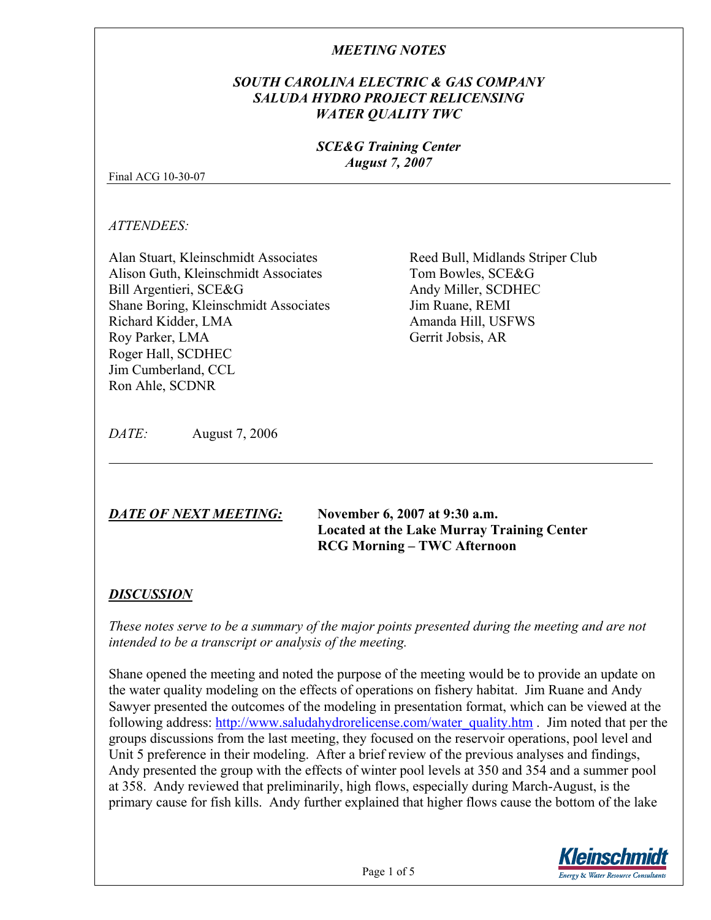#### *SOUTH CAROLINA ELECTRIC & GAS COMPANY SALUDA HYDRO PROJECT RELICENSING WATER QUALITY TWC*

#### *SCE&G Training Center August 7, 2007*

Final ACG 10-30-07

*ATTENDEES:* 

Alan Stuart, Kleinschmidt Associates Alison Guth, Kleinschmidt Associates Bill Argentieri, SCE&G Shane Boring, Kleinschmidt Associates Richard Kidder, LMA Roy Parker, LMA Roger Hall, SCDHEC Jim Cumberland, CCL Ron Ahle, SCDNR

Reed Bull, Midlands Striper Club Tom Bowles, SCE&G Andy Miller, SCDHEC Jim Ruane, REMI Amanda Hill, USFWS Gerrit Jobsis, AR

*DATE:* August 7, 2006

*DATE OF NEXT MEETING:* **November 6, 2007 at 9:30 a.m. Located at the Lake Murray Training Center RCG Morning – TWC Afternoon** 

# *DISCUSSION*

*These notes serve to be a summary of the major points presented during the meeting and are not intended to be a transcript or analysis of the meeting.* 

Shane opened the meeting and noted the purpose of the meeting would be to provide an update on the water quality modeling on the effects of operations on fishery habitat. Jim Ruane and Andy Sawyer presented the outcomes of the modeling in presentation format, which can be viewed at the following address: http://www.saludahydrorelicense.com/water\_quality.htm . Jim noted that per the groups discussions from the last meeting, they focused on the reservoir operations, pool level and Unit 5 preference in their modeling. After a brief review of the previous analyses and findings, Andy presented the group with the effects of winter pool levels at 350 and 354 and a summer pool at 358. Andy reviewed that preliminarily, high flows, especially during March-August, is the primary cause for fish kills. Andy further explained that higher flows cause the bottom of the lake

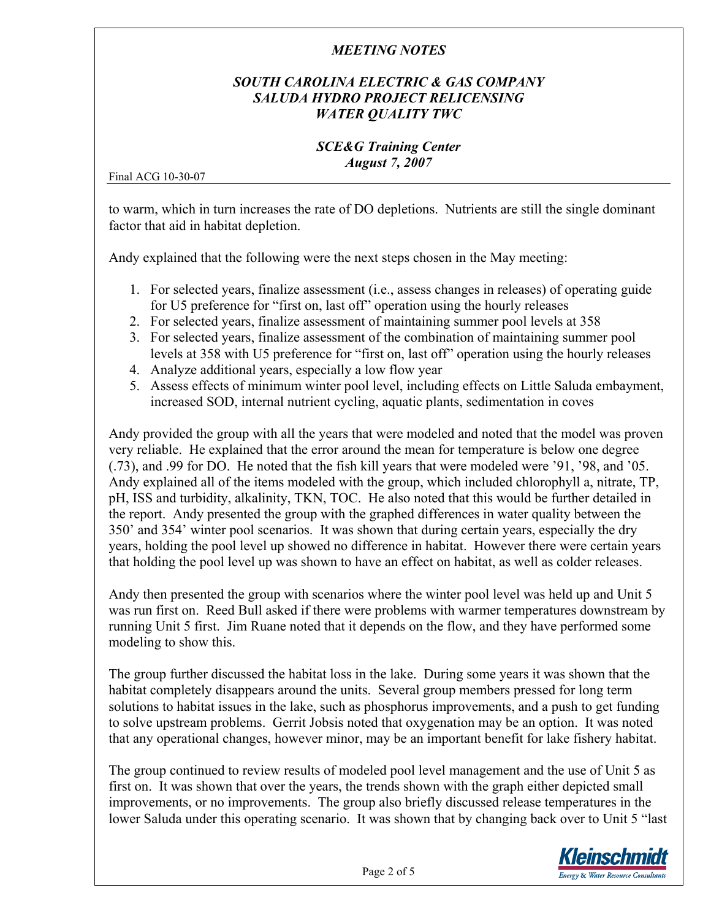## *SOUTH CAROLINA ELECTRIC & GAS COMPANY SALUDA HYDRO PROJECT RELICENSING WATER QUALITY TWC*

#### *SCE&G Training Center August 7, 2007*

Final ACG 10-30-07

to warm, which in turn increases the rate of DO depletions. Nutrients are still the single dominant factor that aid in habitat depletion.

Andy explained that the following were the next steps chosen in the May meeting:

- 1. For selected years, finalize assessment (i.e., assess changes in releases) of operating guide for U5 preference for "first on, last off" operation using the hourly releases
- 2. For selected years, finalize assessment of maintaining summer pool levels at 358
- 3. For selected years, finalize assessment of the combination of maintaining summer pool levels at 358 with U5 preference for "first on, last off" operation using the hourly releases
- 4. Analyze additional years, especially a low flow year
- 5. Assess effects of minimum winter pool level, including effects on Little Saluda embayment, increased SOD, internal nutrient cycling, aquatic plants, sedimentation in coves

Andy provided the group with all the years that were modeled and noted that the model was proven very reliable. He explained that the error around the mean for temperature is below one degree (.73), and .99 for DO. He noted that the fish kill years that were modeled were '91, '98, and '05. Andy explained all of the items modeled with the group, which included chlorophyll a, nitrate, TP, pH, ISS and turbidity, alkalinity, TKN, TOC. He also noted that this would be further detailed in the report. Andy presented the group with the graphed differences in water quality between the 350' and 354' winter pool scenarios. It was shown that during certain years, especially the dry years, holding the pool level up showed no difference in habitat. However there were certain years that holding the pool level up was shown to have an effect on habitat, as well as colder releases.

Andy then presented the group with scenarios where the winter pool level was held up and Unit 5 was run first on. Reed Bull asked if there were problems with warmer temperatures downstream by running Unit 5 first. Jim Ruane noted that it depends on the flow, and they have performed some modeling to show this.

The group further discussed the habitat loss in the lake. During some years it was shown that the habitat completely disappears around the units. Several group members pressed for long term solutions to habitat issues in the lake, such as phosphorus improvements, and a push to get funding to solve upstream problems. Gerrit Jobsis noted that oxygenation may be an option. It was noted that any operational changes, however minor, may be an important benefit for lake fishery habitat.

The group continued to review results of modeled pool level management and the use of Unit 5 as first on. It was shown that over the years, the trends shown with the graph either depicted small improvements, or no improvements. The group also briefly discussed release temperatures in the lower Saluda under this operating scenario. It was shown that by changing back over to Unit 5 "last

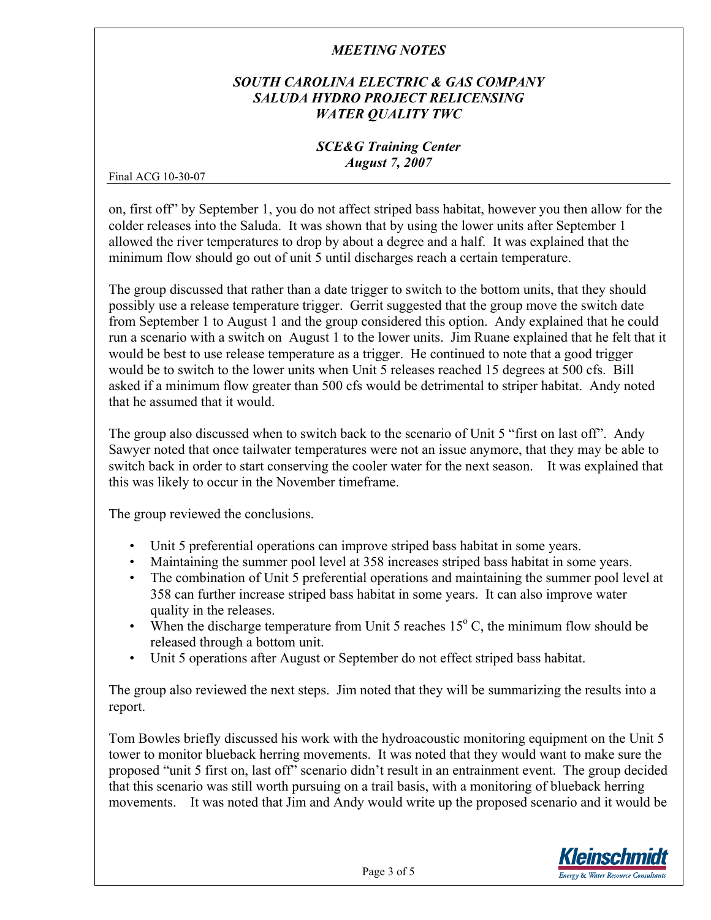## *SOUTH CAROLINA ELECTRIC & GAS COMPANY SALUDA HYDRO PROJECT RELICENSING WATER QUALITY TWC*

#### *SCE&G Training Center August 7, 2007*

Final ACG 10-30-07

on, first off" by September 1, you do not affect striped bass habitat, however you then allow for the colder releases into the Saluda. It was shown that by using the lower units after September 1 allowed the river temperatures to drop by about a degree and a half. It was explained that the minimum flow should go out of unit 5 until discharges reach a certain temperature.

The group discussed that rather than a date trigger to switch to the bottom units, that they should possibly use a release temperature trigger. Gerrit suggested that the group move the switch date from September 1 to August 1 and the group considered this option. Andy explained that he could run a scenario with a switch on August 1 to the lower units. Jim Ruane explained that he felt that it would be best to use release temperature as a trigger. He continued to note that a good trigger would be to switch to the lower units when Unit 5 releases reached 15 degrees at 500 cfs. Bill asked if a minimum flow greater than 500 cfs would be detrimental to striper habitat. Andy noted that he assumed that it would.

The group also discussed when to switch back to the scenario of Unit 5 "first on last off". Andy Sawyer noted that once tailwater temperatures were not an issue anymore, that they may be able to switch back in order to start conserving the cooler water for the next season. It was explained that this was likely to occur in the November timeframe.

The group reviewed the conclusions.

- Unit 5 preferential operations can improve striped bass habitat in some years.
- Maintaining the summer pool level at 358 increases striped bass habitat in some years.
- The combination of Unit 5 preferential operations and maintaining the summer pool level at 358 can further increase striped bass habitat in some years. It can also improve water quality in the releases.
- When the discharge temperature from Unit 5 reaches  $15^{\circ}$  C, the minimum flow should be released through a bottom unit.
- Unit 5 operations after August or September do not effect striped bass habitat.

The group also reviewed the next steps. Jim noted that they will be summarizing the results into a report.

Tom Bowles briefly discussed his work with the hydroacoustic monitoring equipment on the Unit 5 tower to monitor blueback herring movements. It was noted that they would want to make sure the proposed "unit 5 first on, last off" scenario didn't result in an entrainment event. The group decided that this scenario was still worth pursuing on a trail basis, with a monitoring of blueback herring movements. It was noted that Jim and Andy would write up the proposed scenario and it would be

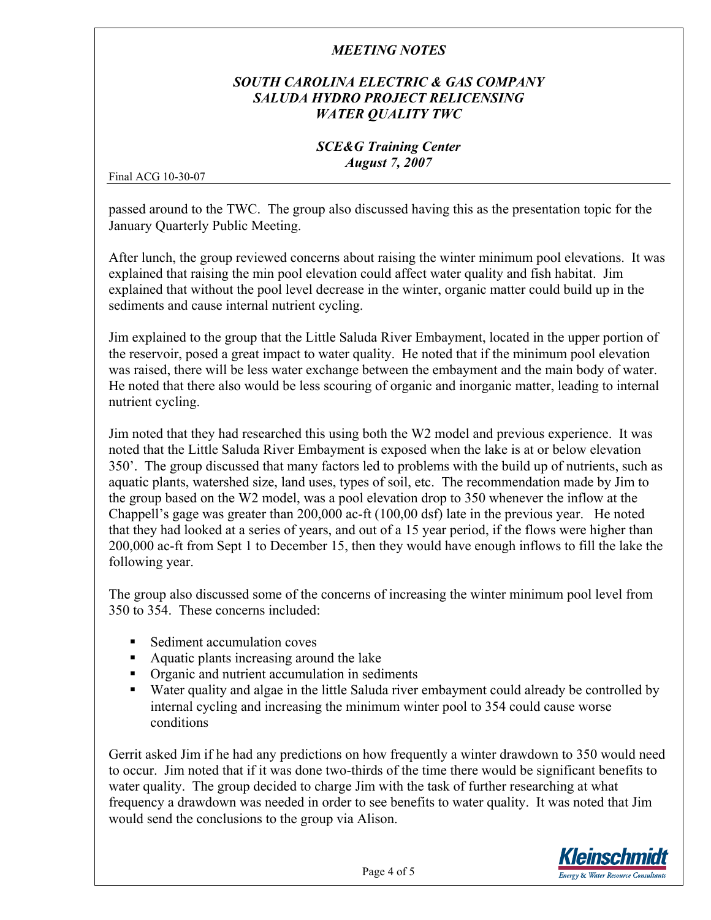## *SOUTH CAROLINA ELECTRIC & GAS COMPANY SALUDA HYDRO PROJECT RELICENSING WATER QUALITY TWC*

#### *SCE&G Training Center August 7, 2007*

Final ACG 10-30-07

passed around to the TWC. The group also discussed having this as the presentation topic for the January Quarterly Public Meeting.

After lunch, the group reviewed concerns about raising the winter minimum pool elevations. It was explained that raising the min pool elevation could affect water quality and fish habitat. Jim explained that without the pool level decrease in the winter, organic matter could build up in the sediments and cause internal nutrient cycling.

Jim explained to the group that the Little Saluda River Embayment, located in the upper portion of the reservoir, posed a great impact to water quality. He noted that if the minimum pool elevation was raised, there will be less water exchange between the embayment and the main body of water. He noted that there also would be less scouring of organic and inorganic matter, leading to internal nutrient cycling.

Jim noted that they had researched this using both the W2 model and previous experience. It was noted that the Little Saluda River Embayment is exposed when the lake is at or below elevation 350'. The group discussed that many factors led to problems with the build up of nutrients, such as aquatic plants, watershed size, land uses, types of soil, etc. The recommendation made by Jim to the group based on the W2 model, was a pool elevation drop to 350 whenever the inflow at the Chappell's gage was greater than 200,000 ac-ft (100,00 dsf) late in the previous year. He noted that they had looked at a series of years, and out of a 15 year period, if the flows were higher than 200,000 ac-ft from Sept 1 to December 15, then they would have enough inflows to fill the lake the following year.

The group also discussed some of the concerns of increasing the winter minimum pool level from 350 to 354. These concerns included:

- Sediment accumulation coves
- Aquatic plants increasing around the lake
- Organic and nutrient accumulation in sediments
- Water quality and algae in the little Saluda river embayment could already be controlled by internal cycling and increasing the minimum winter pool to 354 could cause worse conditions

Gerrit asked Jim if he had any predictions on how frequently a winter drawdown to 350 would need to occur. Jim noted that if it was done two-thirds of the time there would be significant benefits to water quality. The group decided to charge Jim with the task of further researching at what frequency a drawdown was needed in order to see benefits to water quality. It was noted that Jim would send the conclusions to the group via Alison.